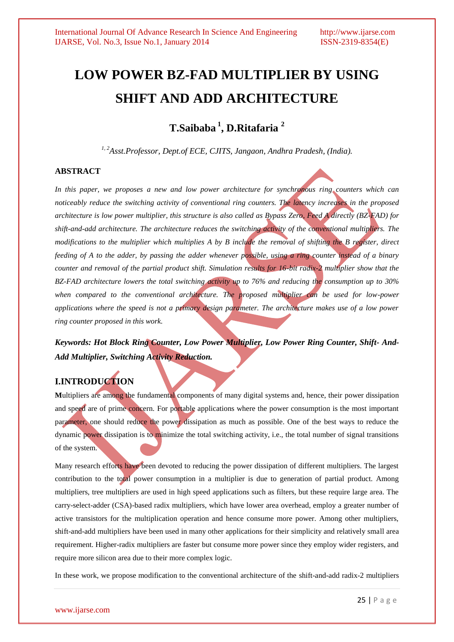# **LOW POWER BZ-FAD MULTIPLIER BY USING SHIFT AND ADD ARCHITECTURE**

**T.Saibaba <sup>1</sup> , D.Ritafaria <sup>2</sup>**

*1, 2Asst.Professor, Dept.of ECE, CJITS, Jangaon, Andhra Pradesh, (India).*

## **ABSTRACT**

*In this paper, we proposes a new and low power architecture for synchronous ring counters which can noticeably reduce the switching activity of conventional ring counters. The latency increases in the proposed architecture is low power multiplier, this structure is also called as Bypass Zero, Feed A directly (BZ-FAD) for shift-and-add architecture. The architecture reduces the switching activity of the conventional multipliers. The modifications to the multiplier which multiplies A by B include the removal of shifting the B register, direct feeding of A to the adder, by passing the adder whenever possible, using a ring counter instead of a binary counter and removal of the partial product shift. Simulation results for 16-bit radix-2 multiplier show that the BZ-FAD architecture lowers the total switching activity up to 76% and reducing the consumption up to 30%*  when compared to the conventional architecture. The proposed multiplier can be used for low-power *applications where the speed is not a primary design parameter. The architecture makes use of a low power ring counter proposed in this work.*

*Keywords: Hot Block Ring Counter, Low Power Multiplier, Low Power Ring Counter, Shift- And-Add Multiplier, Switching Activity Reduction.* 

## **I.INTRODUCTION**

**M**ultipliers are among the fundamental components of many digital systems and, hence, their power dissipation and speed are of prime concern. For portable applications where the power consumption is the most important parameter, one should reduce the power dissipation as much as possible. One of the best ways to reduce the dynamic power dissipation is to minimize the total switching activity, i.e., the total number of signal transitions of the system.

Many research efforts have been devoted to reducing the power dissipation of different multipliers. The largest contribution to the total power consumption in a multiplier is due to generation of partial product. Among multipliers, tree multipliers are used in high speed applications such as filters, but these require large area. The carry-select-adder (CSA)-based radix multipliers, which have lower area overhead, employ a greater number of active transistors for the multiplication operation and hence consume more power. Among other multipliers, shift-and-add multipliers have been used in many other applications for their simplicity and relatively small area requirement. Higher-radix multipliers are faster but consume more power since they employ wider registers, and require more silicon area due to their more complex logic.

In these work, we propose modification to the conventional architecture of the shift-and-add radix-2 multipliers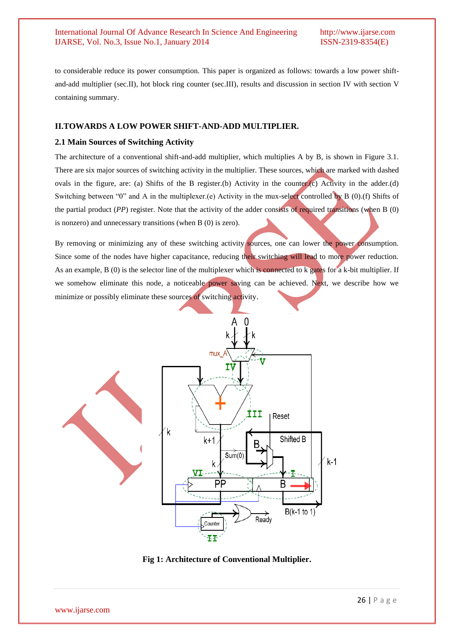to considerable reduce its power consumption. This paper is organized as follows: towards a low power shiftand-add multiplier (sec.II), hot block ring counter (sec.III), results and discussion in section IV with section V containing summary.

#### **II.TOWARDS A LOW POWER SHIFT-AND-ADD MULTIPLIER.**

#### **2.1 Main Sources of Switching Activity**

The architecture of a conventional shift-and-add multiplier, which multiplies A by B, is shown in Figure 3.1. There are six major sources of switching activity in the multiplier. These sources, which are marked with dashed ovals in the figure, are: (a) Shifts of the B register.(b) Activity in the counter.(c) Activity in the adder.(d) Switching between "0" and A in the multiplexer.(e) Activity in the mux-select controlled by B (0).(f) Shifts of the partial product (*PP*) register. Note that the activity of the adder consists of required transitions (when B (0) is nonzero) and unnecessary transitions (when B (0) is zero).

By removing or minimizing any of these switching activity sources, one can lower the power consumption. Since some of the nodes have higher capacitance, reducing their switching will lead to more power reduction. As an example, B (0) is the selector line of the multiplexer which is connected to k gates for a k-bit multiplier. If we somehow eliminate this node, a noticeable power saving can be achieved. Next, we describe how we minimize or possibly eliminate these sources of switching activity.



**Fig 1: Architecture of Conventional Multiplier.**

www.ijarse.com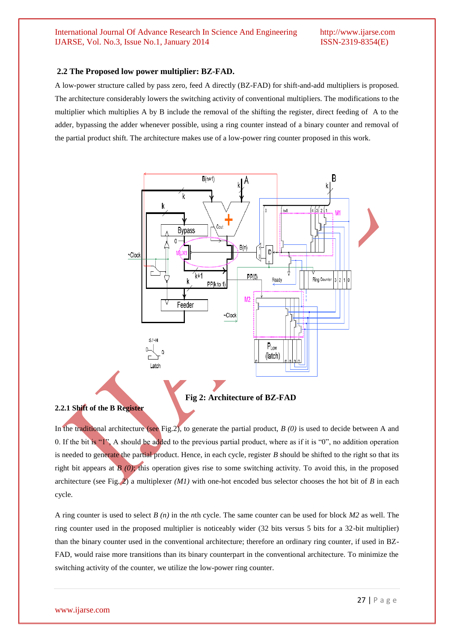#### **2.2 The Proposed low power multiplier: BZ-FAD.**

A low-power structure called by pass zero, feed A directly (BZ-FAD) for shift-and-add multipliers is proposed. The architecture considerably lowers the switching activity of conventional multipliers. The modifications to the multiplier which multiplies A by B include the removal of the shifting the register, direct feeding of A to the adder, bypassing the adder whenever possible, using a ring counter instead of a binary counter and removal of the partial product shift. The architecture makes use of a low-power ring counter proposed in this work.



**Fig 2: Architecture of BZ-FAD**

#### **2.2.1 Shift of the B Register**

In the traditional architecture (see Fig.2), to generate the partial product, *B (0)* is used to decide between A and 0. If the bit is "1", A should be added to the previous partial product, where as if it is "0", no addition operation is needed to generate the partial product. Hence, in each cycle, register *B* should be shifted to the right so that its right bit appears at  $\hat{B}(0)$ ; this operation gives rise to some switching activity. To avoid this, in the proposed architecture (see Fig. 2) a multiplexer  $(M1)$  with one-hot encoded bus selector chooses the hot bit of *B* in each cycle.

A ring counter is used to select *B (n)* in the *n*th cycle. The same counter can be used for block *M2* as well. The ring counter used in the proposed multiplier is noticeably wider (32 bits versus 5 bits for a 32-bit multiplier) than the binary counter used in the conventional architecture; therefore an ordinary ring counter, if used in BZ-FAD, would raise more transitions than its binary counterpart in the conventional architecture. To minimize the switching activity of the counter, we utilize the low-power ring counter.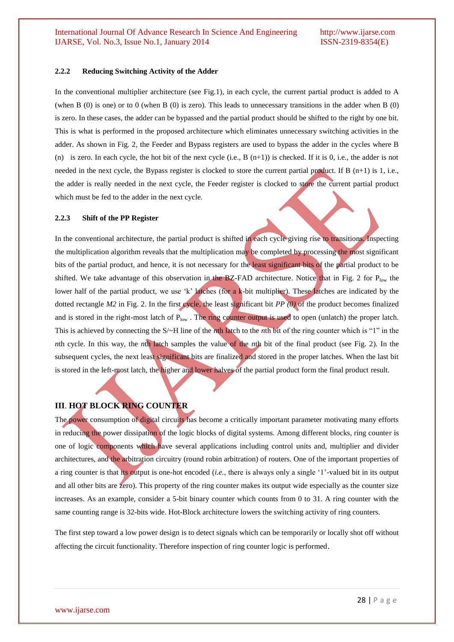#### **2.2.2 Reducing Switching Activity of the Adder**

In the conventional multiplier architecture (see Fig.1), in each cycle, the current partial product is added to A (when B (0) is one) or to 0 (when B (0) is zero). This leads to unnecessary transitions in the adder when B (0) is zero. In these cases, the adder can be bypassed and the partial product should be shifted to the right by one bit. This is what is performed in the proposed architecture which eliminates unnecessary switching activities in the adder. As shown in Fig. 2, the Feeder and Bypass registers are used to bypass the adder in the cycles where B (n) is zero. In each cycle, the hot bit of the next cycle  $(i.e., B (n+1))$  is checked. If it is 0, i.e., the adder is not needed in the next cycle, the Bypass register is clocked to store the current partial product. If B (n+1) is 1, i.e., the adder is really needed in the next cycle, the Feeder register is clocked to store the current partial product which must be fed to the adder in the next cycle.

#### **2.2.3 Shift of the PP Register**

In the conventional architecture, the partial product is shifted in each cycle giving rise to transitions. Inspecting the multiplication algorithm reveals that the multiplication may be completed by processing the most significant bits of the partial product, and hence, it is not necessary for the least significant bits of the partial product to be shifted. We take advantage of this observation in the BZ-FAD architecture. Notice that in Fig. 2 for  $P_{\text{low}}$  the lower half of the partial product, we use 'k' latches (for a k-bit multiplier). These latches are indicated by the dotted rectangle *M2* in Fig. 2. In the first cycle, the least significant bit *PP* (0) of the product becomes finalized and is stored in the right-most latch of  $P_{low}$ . The ring counter output is used to open (unlatch) the proper latch. This is achieved by connecting the S/~H line of the *n*th latch to the *n*th bit of the ring counter which is "1" in the *n*th cycle. In this way, the *n*th latch samples the value of the *n*th bit of the final product (see Fig. 2). In the subsequent cycles, the next least significant bits are finalized and stored in the proper latches. When the last bit is stored in the left-most latch, the higher and lower halves of the partial product form the final product result.

## **III**. **HOT BLOCK RING COUNTER**

The power consumption of digital circuits has become a critically important parameter motivating many efforts in reducing the power dissipation of the logic blocks of digital systems. Among different blocks, ring counter is one of logic components which have several applications including control units and, multiplier and divider architectures, and the arbitration circuitry (round robin arbitration) of routers. One of the important properties of a ring counter is that its output is one-hot encoded (*i.e.*, there is always only a single "1"-valued bit in its output and all other bits are zero). This property of the ring counter makes its output wide especially as the counter size increases. As an example, consider a 5-bit binary counter which counts from 0 to 31. A ring counter with the same counting range is 32-bits wide. Hot-Block architecture lowers the switching activity of ring counters.

The first step toward a low power design is to detect signals which can be temporarily or locally shot off without affecting the circuit functionality. Therefore inspection of ring counter logic is performed.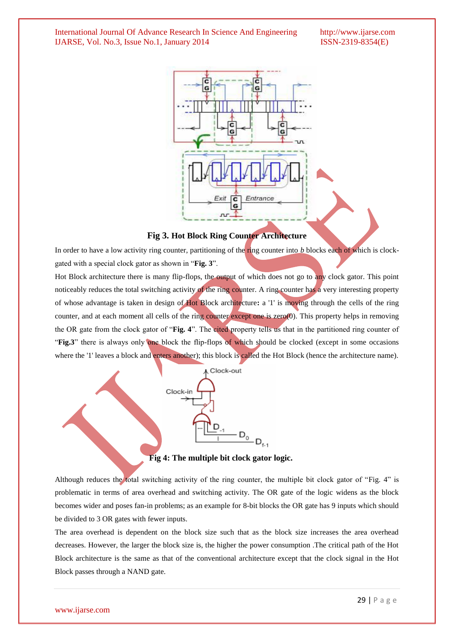



In order to have a low activity ring counter, partitioning of the ring counter into *b* blocks each of which is clockgated with a special clock gator as shown in "**Fig. 3**".

Hot Block architecture there is many flip-flops, the output of which does not go to any clock gator. This point noticeably reduces the total switching activity of the ring counter. A ring counter has a very interesting property of whose advantage is taken in design of Hot Block architecture**:** a '1' is moving through the cells of the ring counter, and at each moment all cells of the ring counter except one is zero(0). This property helps in removing the OR gate from the clock gator of "**Fig. 4**". The cited property tells us that in the partitioned ring counter of "**Fig.3**" there is always only one block the flip-flops of which should be clocked (except in some occasions where the '1' leaves a block and enters another); this block is called the Hot Block (hence the architecture name).



**Fig 4: The multiple bit clock gator logic.**

Although reduces the total switching activity of the ring counter, the multiple bit clock gator of "Fig. 4" is problematic in terms of area overhead and switching activity. The OR gate of the logic widens as the block becomes wider and poses fan-in problems; as an example for 8-bit blocks the OR gate has 9 inputs which should be divided to 3 OR gates with fewer inputs.

The area overhead is dependent on the block size such that as the block size increases the area overhead decreases. However, the larger the block size is, the higher the power consumption .The critical path of the Hot Block architecture is the same as that of the conventional architecture except that the clock signal in the Hot Block passes through a NAND gate.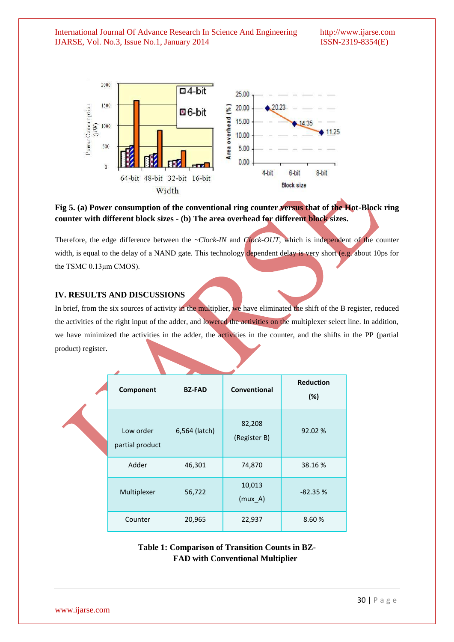

**Fig 5. (a) Power consumption of the conventional ring counter versus that of the Hot-Block ring counter with different block sizes - (b) The area overhead for different block sizes.**

Therefore, the edge difference between the *~Clock-IN* and *Clock-OUT*, which is independent of the counter width, is equal to the delay of a NAND gate. This technology dependent delay is very short (e.g. about 10ps for the TSMC 0.13μm CMOS).

## **IV. RESULTS AND DISCUSSIONS**

In brief, from the six sources of activity in the multiplier, we have eliminated the shift of the B register, reduced the activities of the right input of the adder, and lowered the activities on the multiplexer select line. In addition, we have minimized the activities in the adder, the activities in the counter, and the shifts in the PP (partial product) register.

| Component                    | <b>BZ-FAD</b> | Conventional           | <b>Reduction</b><br>(%) |  |
|------------------------------|---------------|------------------------|-------------------------|--|
| Low order<br>partial product | 6,564 (latch) | 82,208<br>(Register B) | 92.02%                  |  |
| Adder                        | 46,301        | 74,870                 | 38.16%                  |  |
| Multiplexer                  | 56,722        | 10,013<br>$(mux_A)$    | $-82.35%$               |  |
| Counter                      | 20,965        | 22,937                 | 8.60%                   |  |

**Table 1: Comparison of Transition Counts in BZ- FAD with Conventional Multiplier**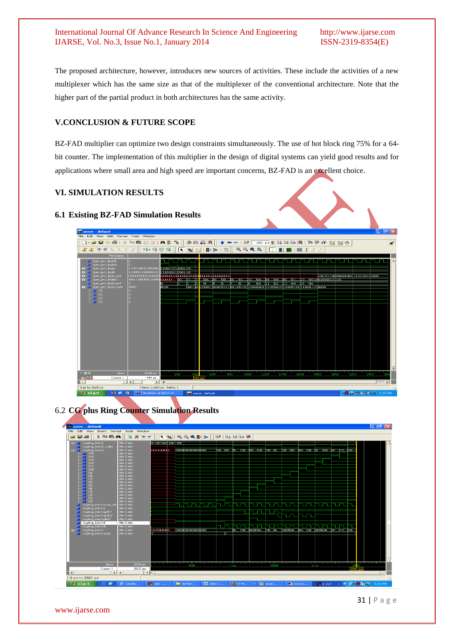The proposed architecture, however, introduces new sources of activities. These include the activities of a new multiplexer which has the same size as that of the multiplexer of the conventional architecture. Note that the higher part of the partial product in both architectures has the same activity.

## **V.CONCLUSION & FUTURE SCOPE**

BZ-FAD multiplier can optimize two design constraints simultaneously. The use of hot block ring 75% for a 64 bit counter. The implementation of this multiplier in the design of digital systems can yield good results and for applications where small area and high speed are important concerns, BZ-FAD is an excellent choice.

## **VI. SIMULATION RESULTS**

## **6.1 Existing BZ-FAD Simulation Results**



6.2 **CG plus Ring Counter Simulation Results**



31 | P a g e

www.ijarse.com